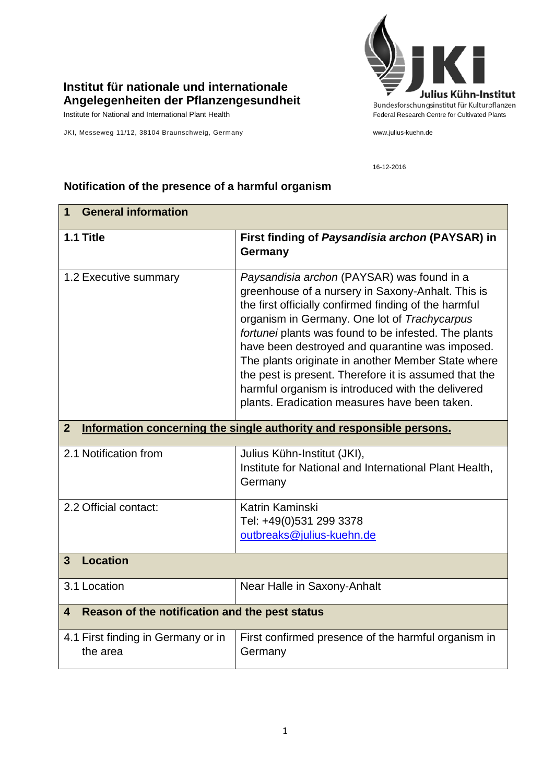## **Institut für nationale und internationale Angelegenheiten der Pflanzengesundheit**

Institute for National and International Plant Health Feature And Theorem Federal Research Centre for Cultivated Plants

JKI, Messeweg 11/12, 38104 Braunschweig, Germany www.julius-kuehn.de



16-12-2016

## **1 General information 1.1 Title First finding of** *Paysandisia archon* **(PAYSAR) in Germany** 1.2 Executive summary *Paysandisia archon* (PAYSAR) was found in a greenhouse of a nursery in Saxony-Anhalt. This is the first officially confirmed finding of the harmful organism in Germany. One lot of *Trachycarpus fortunei* plants was found to be infested. The plants have been destroyed and quarantine was imposed. The plants originate in another Member State where the pest is present. Therefore it is assumed that the harmful organism is introduced with the delivered plants. Eradication measures have been taken. **2 Information concerning the single authority and responsible persons.** 2.1 Notification from Julius Kühn-Institut (JKI), Institute for National and International Plant Health, **Germany** 2.2 Official contact: Katrin Kaminski Tel: +49(0)531 299 3378 [outbreaks@julius-kuehn.de](mailto:outbreaks@julius-kuehn.de) **3 Location**  3.1 Location Near Halle in Saxony-Anhalt **4 Reason of the notification and the pest status** 4.1 First finding in Germany or in the area First confirmed presence of the harmful organism in Germany

## **Notification of the presence of a harmful organism**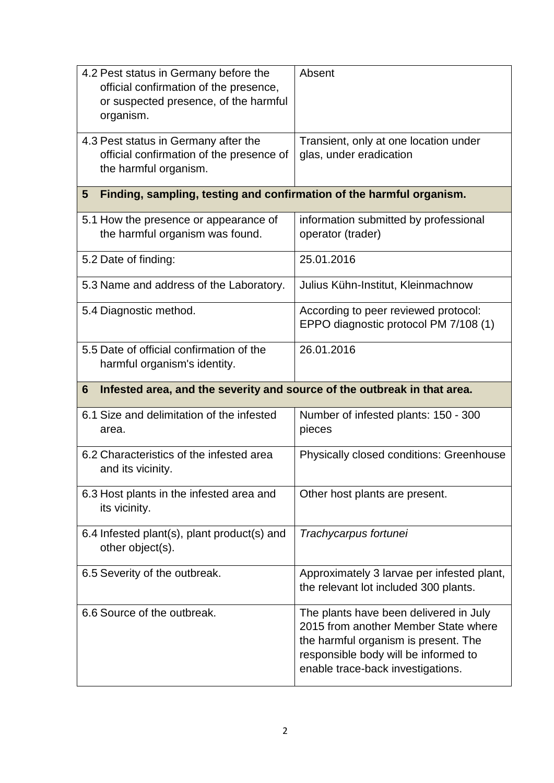| 4.2 Pest status in Germany before the<br>official confirmation of the presence,<br>or suspected presence, of the harmful<br>organism. | Absent                                                                              |
|---------------------------------------------------------------------------------------------------------------------------------------|-------------------------------------------------------------------------------------|
| 4.3 Pest status in Germany after the<br>official confirmation of the presence of<br>the harmful organism.                             | Transient, only at one location under<br>glas, under eradication                    |
| Finding, sampling, testing and confirmation of the harmful organism.<br>5                                                             |                                                                                     |
| 5.1 How the presence or appearance of<br>the harmful organism was found.                                                              | information submitted by professional<br>operator (trader)                          |
| 5.2 Date of finding:                                                                                                                  | 25.01.2016                                                                          |
| 5.3 Name and address of the Laboratory.                                                                                               | Julius Kühn-Institut, Kleinmachnow                                                  |
| 5.4 Diagnostic method.                                                                                                                | According to peer reviewed protocol:<br>EPPO diagnostic protocol PM 7/108 (1)       |
| 5.5 Date of official confirmation of the<br>harmful organism's identity.                                                              | 26.01.2016                                                                          |
| Infested area, and the severity and source of the outbreak in that area.<br>6                                                         |                                                                                     |
|                                                                                                                                       |                                                                                     |
| 6.1 Size and delimitation of the infested<br>area.                                                                                    | Number of infested plants: 150 - 300<br>pieces                                      |
| 6.2 Characteristics of the infested area<br>and its vicinity.                                                                         | <b>Physically closed conditions: Greenhouse</b>                                     |
| 6.3 Host plants in the infested area and<br>its vicinity.                                                                             | Other host plants are present.                                                      |
| 6.4 Infested plant(s), plant product(s) and<br>other object(s).                                                                       | Trachycarpus fortunei                                                               |
| 6.5 Severity of the outbreak.                                                                                                         | Approximately 3 larvae per infested plant,<br>the relevant lot included 300 plants. |